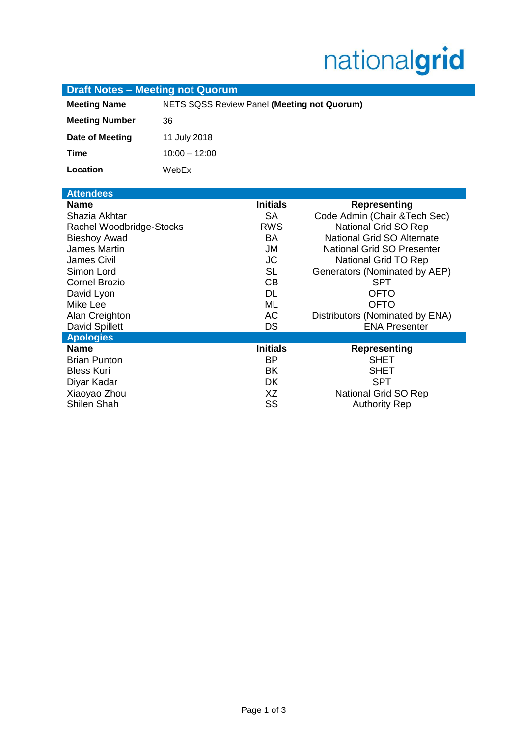# nationalgrid

| <b>Draft Notes - Meeting not Quorum</b> |                                             |                 |                                   |
|-----------------------------------------|---------------------------------------------|-----------------|-----------------------------------|
| <b>Meeting Name</b>                     | NETS SQSS Review Panel (Meeting not Quorum) |                 |                                   |
| <b>Meeting Number</b>                   | 36                                          |                 |                                   |
| Date of Meeting                         | 11 July 2018                                |                 |                                   |
| <b>Time</b>                             | $10:00 - 12:00$                             |                 |                                   |
| Location                                | WebEx                                       |                 |                                   |
| <b>Attendees</b>                        |                                             |                 |                                   |
| <b>Name</b>                             |                                             | <b>Initials</b> | <b>Representing</b>               |
| Shazia Akhtar                           |                                             | <b>SA</b>       | Code Admin (Chair & Tech Sec)     |
| Rachel Woodbridge-Stocks                |                                             | <b>RWS</b>      | National Grid SO Rep              |
| <b>Bieshoy Awad</b>                     |                                             | <b>BA</b>       | National Grid SO Alternate        |
| <b>James Martin</b>                     |                                             | <b>JM</b>       | <b>National Grid SO Presenter</b> |
| <b>James Civil</b>                      |                                             | <b>JC</b>       | National Grid TO Rep              |
| Simon Lord                              |                                             | <b>SL</b>       | Generators (Nominated by AEP)     |
| <b>Cornel Brozio</b>                    |                                             | CB              | <b>SPT</b>                        |
| David Lyon                              |                                             | <b>DL</b>       | <b>OFTO</b>                       |
| Mike Lee                                |                                             | <b>ML</b>       | <b>OFTO</b>                       |
| Alan Creighton                          |                                             | <b>AC</b>       | Distributors (Nominated by ENA)   |
| David Spillett                          |                                             | DS              | <b>ENA Presenter</b>              |
| <b>Apologies</b>                        |                                             |                 |                                   |
| <b>Name</b>                             |                                             | <b>Initials</b> | <b>Representing</b>               |
| <b>Brian Punton</b>                     |                                             | <b>BP</b>       | <b>SHET</b>                       |
| <b>Bless Kuri</b>                       |                                             | <b>BK</b>       | <b>SHET</b>                       |
| Diyar Kadar                             |                                             | DK              | <b>SPT</b>                        |
| Xiaoyao Zhou                            |                                             | XZ              | National Grid SO Rep              |
| <b>Shilen Shah</b>                      |                                             | SS              | <b>Authority Rep</b>              |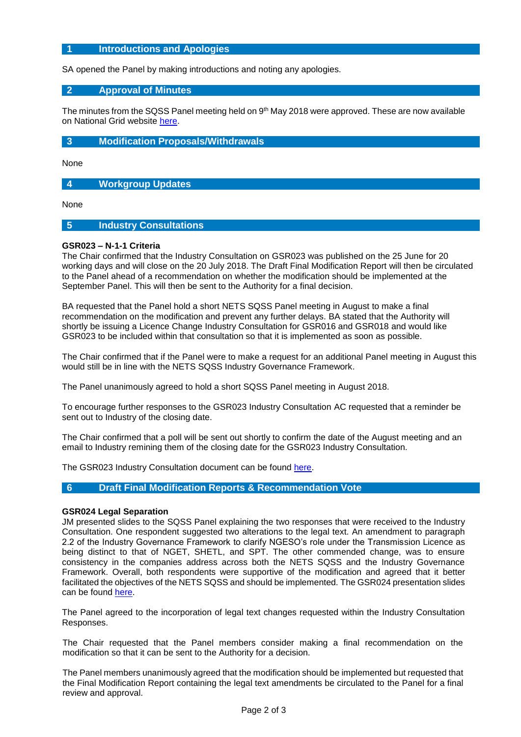## **1 Introductions and Apologies**

SA opened the Panel by making introductions and noting any apologies.

#### **2 Approval of Minutes**

The minutes from the SQSS Panel meeting held on  $9<sup>th</sup>$  May 2018 were approved. These are now available on National Grid website [here.](https://www.nationalgrid.com/uk/electricity/codes/security-and-quality-supply-standards/meetings/sqss-panel-meeting-11072018)

#### **3 Modification Proposals/Withdrawals**

None

**4 Workgroup Updates**

None

## **5 Industry Consultations**

#### **GSR023 – N-1-1 Criteria**

The Chair confirmed that the Industry Consultation on GSR023 was published on the 25 June for 20 working days and will close on the 20 July 2018. The Draft Final Modification Report will then be circulated to the Panel ahead of a recommendation on whether the modification should be implemented at the September Panel. This will then be sent to the Authority for a final decision.

BA requested that the Panel hold a short NETS SQSS Panel meeting in August to make a final recommendation on the modification and prevent any further delays. BA stated that the Authority will shortly be issuing a Licence Change Industry Consultation for GSR016 and GSR018 and would like GSR023 to be included within that consultation so that it is implemented as soon as possible.

The Chair confirmed that if the Panel were to make a request for an additional Panel meeting in August this would still be in line with the NETS SQSS Industry Governance Framework.

The Panel unanimously agreed to hold a short SQSS Panel meeting in August 2018.

To encourage further responses to the GSR023 Industry Consultation AC requested that a reminder be sent out to Industry of the closing date.

The Chair confirmed that a poll will be sent out shortly to confirm the date of the August meeting and an email to Industry remining them of the closing date for the GSR023 Industry Consultation.

The GSR023 Industry Consultation document can be found [here.](https://www.nationalgrid.com/uk/electricity/codes/security-and-quality-supply-standards/modifications/clarification-n-1-1)

#### **6 Draft Final Modification Reports & Recommendation Vote**

#### **GSR024 Legal Separation**

JM presented slides to the SQSS Panel explaining the two responses that were received to the Industry Consultation. One respondent suggested two alterations to the legal text. An amendment to paragraph 2.2 of the Industry Governance Framework to clarify NGESO's role under the Transmission Licence as being distinct to that of NGET, SHETL, and SPT. The other commended change, was to ensure consistency in the companies address across both the NETS SQSS and the Industry Governance Framework. Overall, both respondents were supportive of the modification and agreed that it better facilitated the objectives of the NETS SQSS and should be implemented. The GSR024 presentation slides can be found [here.](https://www.nationalgrid.com/uk/electricity/codes/security-and-quality-supply-standards/meetings/sqss-panel-meeting-11072018)

The Panel agreed to the incorporation of legal text changes requested within the Industry Consultation Responses.

The Chair requested that the Panel members consider making a final recommendation on the modification so that it can be sent to the Authority for a decision.

The Panel members unanimously agreed that the modification should be implemented but requested that the Final Modification Report containing the legal text amendments be circulated to the Panel for a final review and approval.